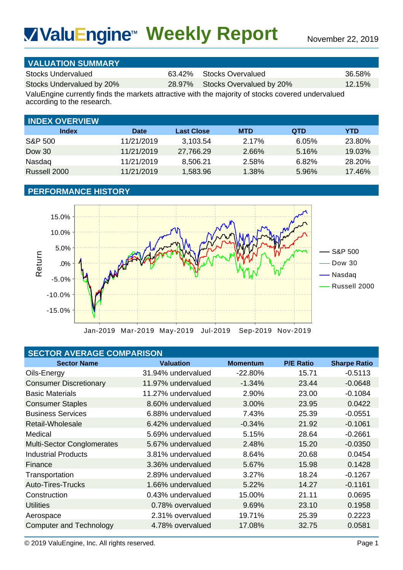# **Weekly Report** November 22, 2019 **TM**

| <b>VALUATION SUMMARY</b>  |                                 |           |
|---------------------------|---------------------------------|-----------|
| Stocks Undervalued        | 63.42% Stocks Overvalued        | 36.58%    |
| Stocks Undervalued by 20% | 28.97% Stocks Overvalued by 20% | $12.15\%$ |
|                           |                                 |           |

| <b>INDEX OVERVIEW</b> |            |                   |            |            |            |
|-----------------------|------------|-------------------|------------|------------|------------|
| <b>Index</b>          | Date       | <b>Last Close</b> | <b>MTD</b> | <b>QTD</b> | <b>YTD</b> |
| S&P 500               | 11/21/2019 | 3,103.54          | 2.17%      | 6.05%      | 23.80%     |
| Dow 30                | 11/21/2019 | 27,766.29         | 2.66%      | 5.16%      | 19.03%     |
| Nasdaq                | 11/21/2019 | 8,506.21          | 2.58%      | 6.82%      | 28.20%     |
| Russell 2000          | 11/21/2019 | 1,583.96          | 1.38%      | 5.96%      | 17.46%     |

# **PERFORMANCE HISTORY**



# **SECTOR AVERAGE COMPARISON**

| <b>VivaluEngine™ Weekly Report</b>                                                                                                                                                                                    |                                                                     |                                                                    |                                                       |                                                | November 22, 2019                                  |
|-----------------------------------------------------------------------------------------------------------------------------------------------------------------------------------------------------------------------|---------------------------------------------------------------------|--------------------------------------------------------------------|-------------------------------------------------------|------------------------------------------------|----------------------------------------------------|
|                                                                                                                                                                                                                       |                                                                     |                                                                    |                                                       |                                                |                                                    |
| <b>VALUATION SUMMARY</b><br><b>Stocks Undervalued</b><br>Stocks Undervalued by 20%<br>ValuEngine currently finds the markets attractive with the majority of stocks covered undervalued<br>according to the research. |                                                                     | 63.42%<br>28.97%                                                   | <b>Stocks Overvalued</b><br>Stocks Overvalued by 20%  |                                                | 36.58%<br>12.15%                                   |
|                                                                                                                                                                                                                       |                                                                     |                                                                    |                                                       |                                                |                                                    |
| <b>INDEX OVERVIEW</b>                                                                                                                                                                                                 |                                                                     |                                                                    |                                                       |                                                |                                                    |
| <b>Index</b><br><b>S&amp;P 500</b><br><b>Dow 30</b><br>Nasdaq<br>Russell 2000                                                                                                                                         | <b>Date</b><br>11/21/2019<br>11/21/2019<br>11/21/2019<br>11/21/2019 | <b>Last Close</b><br>3,103.54<br>27,766.29<br>8,506.21<br>1,583.96 | <b>MTD</b><br>2.17%<br>2.66%<br>2.58%<br>1.38%        | <b>QTD</b><br>6.05%<br>5.16%<br>6.82%<br>5.96% | <b>YTD</b><br>23.80%<br>19.03%<br>28.20%<br>17.46% |
| <b>PERFORMANCE HISTORY</b>                                                                                                                                                                                            |                                                                     |                                                                    |                                                       |                                                |                                                    |
| 15.0%<br>10.0%<br>5.0%<br>Return<br>.0%<br>$-5.0%$<br>$-10.0%$<br>$-15.0%$                                                                                                                                            |                                                                     |                                                                    | Jan-2019 Mar-2019 May-2019 Jul-2019 Sep-2019 Nov-2019 |                                                | S&P 500<br>Dow 30<br>Nasdaq<br>Russell 2000        |
| <b>SECTOR AVERAGE COMPARISON</b>                                                                                                                                                                                      |                                                                     |                                                                    |                                                       |                                                |                                                    |
| <b>Sector Name</b><br>Oils-Energy                                                                                                                                                                                     |                                                                     | <b>Valuation</b><br>31.94% undervalued                             | <b>Momentum</b><br>$-22.80%$                          | <b>P/E Ratio</b><br>15.71                      | <b>Sharpe Ratio</b><br>$-0.5113$                   |
| <b>Consumer Discretionary</b>                                                                                                                                                                                         |                                                                     | 11.97% undervalued                                                 | $-1.34%$                                              | 23.44                                          | $-0.0648$                                          |
| <b>Basic Materials</b>                                                                                                                                                                                                |                                                                     | 11.27% undervalued                                                 | 2.90%                                                 | 23.00                                          | $-0.1084$                                          |
| <b>Consumer Staples</b>                                                                                                                                                                                               |                                                                     | 8.60% undervalued                                                  | 3.00%                                                 | 23.95                                          | 0.0422                                             |
| <b>Business Services</b>                                                                                                                                                                                              |                                                                     | 6.88% undervalued                                                  | 7.43%                                                 | 25.39                                          | $-0.0551$                                          |
| <b>Retail-Wholesale</b>                                                                                                                                                                                               |                                                                     | 6.42% undervalued                                                  | $-0.34%$                                              | 21.92                                          | $-0.1061$                                          |
| Medical                                                                                                                                                                                                               |                                                                     | 5.69% undervalued                                                  | 5.15%                                                 | 28.64                                          | $-0.2661$                                          |
| <b>Multi-Sector Conglomerates</b>                                                                                                                                                                                     |                                                                     | 5.67% undervalued                                                  | 2.48%                                                 | 15.20                                          | $-0.0350$                                          |
| <b>Industrial Products</b>                                                                                                                                                                                            |                                                                     | 3.81% undervalued                                                  | 8.64%                                                 | 20.68                                          | 0.0454                                             |
| Finance                                                                                                                                                                                                               |                                                                     | 3.36% undervalued                                                  | 5.67%                                                 | 15.98                                          | 0.1428                                             |
| Transportation                                                                                                                                                                                                        |                                                                     | 2.89% undervalued                                                  | 3.27%                                                 | 18.24                                          | $-0.1267$                                          |
| <b>Auto-Tires-Trucks</b>                                                                                                                                                                                              |                                                                     | 1.66% undervalued                                                  | 5.22%                                                 | 14.27                                          | $-0.1161$                                          |
| Construction                                                                                                                                                                                                          |                                                                     | 0.43% undervalued                                                  | 15.00%                                                | 21.11                                          | 0.0695                                             |
| <b>Utilities</b>                                                                                                                                                                                                      |                                                                     | 0.78% overvalued                                                   | 9.69%                                                 | 23.10                                          | 0.1958                                             |
| Aerospace                                                                                                                                                                                                             |                                                                     | 2.31% overvalued                                                   | 19.71%                                                | 25.39                                          | 0.2223                                             |
| <b>Computer and Technology</b>                                                                                                                                                                                        |                                                                     | 4.78% overvalued                                                   | 17.08%                                                | 32.75                                          | 0.0581                                             |
| © 2019 ValuEngine, Inc. All rights reserved.                                                                                                                                                                          |                                                                     |                                                                    |                                                       |                                                | Page 1                                             |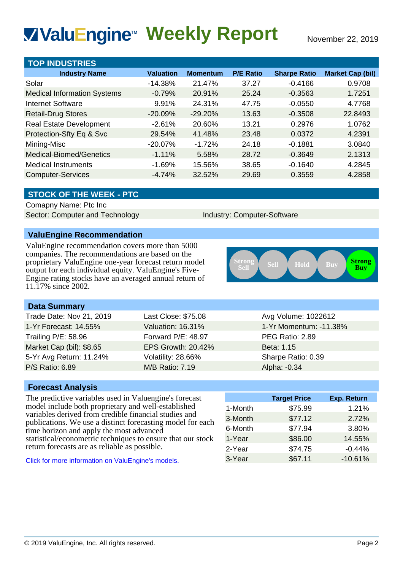# **Weekly Report** November 22, 2019 **TM**

| <b>VivaluEngine™ Weekly Report</b>                                                                                                                                                                                                                |                           |                           |                             |                                  | November 22, 2019                  |
|---------------------------------------------------------------------------------------------------------------------------------------------------------------------------------------------------------------------------------------------------|---------------------------|---------------------------|-----------------------------|----------------------------------|------------------------------------|
|                                                                                                                                                                                                                                                   |                           |                           |                             |                                  |                                    |
| <b>TOP INDUSTRIES</b>                                                                                                                                                                                                                             | <b>Valuation</b>          |                           | <b>P/E Ratio</b>            |                                  |                                    |
| <b>Industry Name</b><br>Solar                                                                                                                                                                                                                     | $-14.38%$                 | <b>Momentum</b><br>21.47% | 37.27                       | <b>Sharpe Ratio</b><br>$-0.4166$ | <b>Market Cap (bil)</b><br>0.9708  |
| <b>Medical Information Systems</b>                                                                                                                                                                                                                | $-0.79%$                  | 20.91%                    | 25.24                       | $-0.3563$                        | 1.7251                             |
| <b>Internet Software</b>                                                                                                                                                                                                                          | 9.91%                     | 24.31%                    | 47.75                       | $-0.0550$                        | 4.7768                             |
| <b>Retail-Drug Stores</b>                                                                                                                                                                                                                         | $-20.09%$                 | $-29.20%$                 | 13.63                       | $-0.3508$                        | 22.8493                            |
| <b>Real Estate Development</b>                                                                                                                                                                                                                    | $-2.61%$                  | 20.60%                    | 13.21                       | 0.2976                           | 1.0762                             |
| Protection-Sfty Eq & Svc                                                                                                                                                                                                                          | 29.54%                    | 41.48%                    | 23.48                       | 0.0372                           | 4.2391                             |
| Mining-Misc                                                                                                                                                                                                                                       | $-20.07%$                 | $-1.72%$                  | 24.18                       | $-0.1881$                        | 3.0840                             |
| Medical-Biomed/Genetics                                                                                                                                                                                                                           | $-1.11%$                  | 5.58%                     | 28.72                       | $-0.3649$                        | 2.1313                             |
| <b>Medical Instruments</b>                                                                                                                                                                                                                        | $-1.69%$                  | 15.56%                    | 38.65                       | $-0.1640$                        | 4.2845                             |
| <b>Computer-Services</b>                                                                                                                                                                                                                          | $-4.74%$                  | 32.52%                    | 29.69                       | 0.3559                           | 4.2858                             |
|                                                                                                                                                                                                                                                   |                           |                           |                             |                                  |                                    |
| <b>STOCK OF THE WEEK - PTC</b><br>Comapny Name: Ptc Inc                                                                                                                                                                                           |                           |                           |                             |                                  |                                    |
| Sector: Computer and Technology                                                                                                                                                                                                                   |                           |                           | Industry: Computer-Software |                                  |                                    |
|                                                                                                                                                                                                                                                   |                           |                           |                             |                                  |                                    |
| <b>ValuEngine Recommendation</b>                                                                                                                                                                                                                  |                           |                           |                             |                                  |                                    |
| companies. The recommendations are based on the<br>proprietary ValuEngine one-year forecast return model<br>output for each individual equity. ValuEngine's Five-<br>Engine rating stocks have an averaged annual return of<br>11.17% since 2002. |                           |                           | <b>Strong<br/>Sell</b>      | Sell<br>Hold                     | <b>Strong</b><br>Buy<br><b>Buy</b> |
| <b>Data Summary</b>                                                                                                                                                                                                                               |                           |                           |                             |                                  |                                    |
| Trade Date: Nov 21, 2019                                                                                                                                                                                                                          | Last Close: \$75.08       |                           |                             | Avg Volume: 1022612              |                                    |
| 1-Yr Forecast: 14.55%                                                                                                                                                                                                                             | Valuation: 16.31%         |                           | 1-Yr Momentum: -11.38%      |                                  |                                    |
| <b>Trailing P/E: 58.96</b>                                                                                                                                                                                                                        | Forward P/E: 48.97        |                           | PEG Ratio: 2.89             |                                  |                                    |
| Market Cap (bil): \$8.65                                                                                                                                                                                                                          | <b>EPS Growth: 20.42%</b> |                           |                             | Beta: 1.15                       |                                    |
| 5-Yr Avg Return: 11.24%                                                                                                                                                                                                                           | Volatility: 28.66%        |                           |                             | Sharpe Ratio: 0.39               |                                    |
| P/S Ratio: 6.89                                                                                                                                                                                                                                   | <b>M/B Ratio: 7.19</b>    |                           |                             | Alpha: -0.34                     |                                    |
| <b>Forecast Analysis</b>                                                                                                                                                                                                                          |                           |                           |                             |                                  |                                    |
| The predictive variables used in Valuengine's forecast                                                                                                                                                                                            |                           |                           |                             | <b>Target Price</b>              | Exp. Return                        |
| model include both proprietary and well-established                                                                                                                                                                                               |                           |                           | 1-Month                     | \$75.99                          | 1.21%                              |
| variables derived from credible financial studies and                                                                                                                                                                                             |                           |                           | 3-Month                     | \$77.12                          | 2.72%                              |
| publications. We use a distinct forecasting model for each<br>time horizon and apply the most advanced                                                                                                                                            |                           |                           | 6-Month                     | \$77.94                          | 3.80%                              |
| statistical/econometric techniques to ensure that our stock                                                                                                                                                                                       |                           |                           | 1-Year                      | \$86.00                          | 14.55%                             |
| return forecasts are as reliable as possible.                                                                                                                                                                                                     |                           |                           | 2-Year                      | \$74.75                          | $-0.44%$                           |
| Click for more information on ValuEngine's models.                                                                                                                                                                                                |                           |                           | 3-Year                      | \$67.11                          | $-10.61%$                          |
|                                                                                                                                                                                                                                                   |                           |                           |                             |                                  |                                    |
| © 2019 ValuEngine, Inc. All rights reserved.                                                                                                                                                                                                      |                           |                           |                             |                                  | Page 2                             |

## **STOCK OF THE WEEK - PTC**

# **ValuEngine Recommendation**



## **Data Summary**

| Trade Date: Nov 21, 2019   | Last Close: \$75.08       | Avg Volume: 1022612    |
|----------------------------|---------------------------|------------------------|
| 1-Yr Forecast: 14.55%      | Valuation: 16.31%         | 1-Yr Momentum: -11.38% |
| <b>Trailing P/E: 58.96</b> | Forward P/E: 48.97        | PEG Ratio: 2.89        |
| Market Cap (bil): \$8.65   | <b>EPS Growth: 20.42%</b> | Beta: 1.15             |
| 5-Yr Avg Return: 11.24%    | Volatility: 28.66%        | Sharpe Ratio: 0.39     |
| <b>P/S Ratio: 6.89</b>     | <b>M/B Ratio: 7.19</b>    | Alpha: -0.34           |
|                            |                           |                        |

### **Forecast Analysis**

|         | <b>Target Price</b> | <b>Exp. Return</b> |
|---------|---------------------|--------------------|
| 1-Month | \$75.99             | 1.21%              |
| 3-Month | \$77.12             | 2.72%              |
| 6-Month | \$77.94             | 3.80%              |
| 1-Year  | \$86.00             | 14.55%             |
| 2-Year  | \$74.75             | $-0.44%$           |
| 3-Year  | \$67.11             | $-10.61%$          |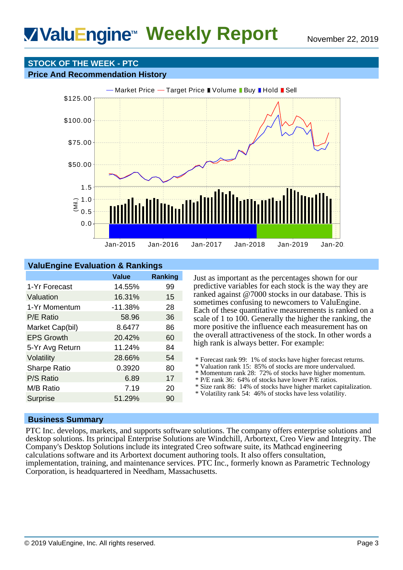# **STOCK OF THE WEEK - PTC**

#### **Price And Recommendation History**



## **ValuEngine Evaluation & Rankings**

|                     | <b>Value</b> | <b>Ranking</b> |
|---------------------|--------------|----------------|
| 1-Yr Forecast       | 14.55%       | 99             |
| Valuation           | 16.31%       | 15             |
| 1-Yr Momentum       | $-11.38%$    | 28             |
| P/E Ratio           | 58.96        | 36             |
| Market Cap(bil)     | 8.6477       | 86             |
| <b>EPS Growth</b>   | 20.42%       | 60             |
| 5-Yr Avg Return     | 11.24%       | 84             |
| Volatility          | 28.66%       | 54             |
| <b>Sharpe Ratio</b> | 0.3920       | 80             |
| P/S Ratio           | 6.89         | 17             |
| M/B Ratio           | 7.19         | 20             |
| <b>Surprise</b>     | 51.29%       | 90             |

Just as important as the percentages shown for our predictive variables for each stock is the way they are ranked against @7000 stocks in our database. This is sometimes confusing to newcomers to ValuEngine. Each of these quantitative measurements is ranked on a scale of 1 to 100. Generally the higher the ranking, the more positive the influence each measurement has on the overall attractiveness of the stock. In other words a high rank is always better. For example:

- \* Forecast rank 99: 1% of stocks have higher forecast returns.
- \* Valuation rank 15: 85% of stocks are more undervalued.
- \* Momentum rank 28: 72% of stocks have higher momentum.
- \* P/E rank 36: 64% of stocks have lower P/E ratios.
- \* Size rank 86: 14% of stocks have higher market capitalization.
- \* Volatility rank 54: 46% of stocks have less volatility.

### **Business Summary**

PTC Inc. develops, markets, and supports software solutions. The company offers enterprise solutions and desktop solutions. Its principal Enterprise Solutions are Windchill, Arbortext, Creo View and Integrity. The Company's Desktop Solutions include its integrated Creo software suite, its Mathcad engineering calculations software and its Arbortext document authoring tools. It also offers consultation, implementation, training, and maintenance services. PTC Inc., formerly known as Parametric Technology Corporation, is headquartered in Needham, Massachusetts.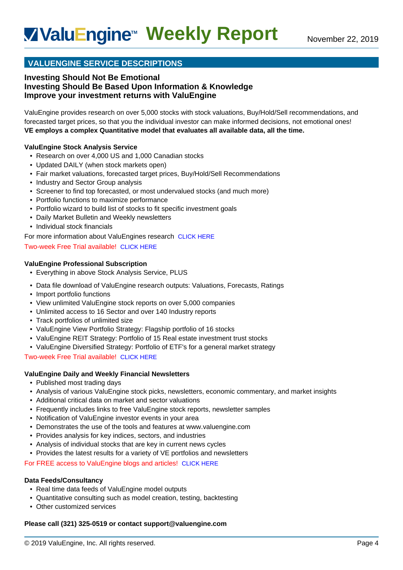# **VALUENGINE SERVICE DESCRIPTIONS**

### **Investing Should Not Be Emotional Investing Should Be Based Upon Information & Knowledge Improve your investment returns with ValuEngine**

ValuEngine provides research on over 5,000 stocks with stock valuations, Buy/Hold/Sell recommendations, and forecasted target prices, so that you the individual investor can make informed decisions, not emotional ones! **VE employs a complex Quantitative model that evaluates all available data, all the time.**

#### **ValuEngine Stock Analysis Service**

- Research on over 4,000 US and 1,000 Canadian stocks
- Updated DAILY (when stock markets open)
- Fair market valuations, forecasted target prices, Buy/Hold/Sell Recommendations
- Industry and Sector Group analysis
- Screener to find top forecasted, or most undervalued stocks (and much more)
- Portfolio functions to maximize performance
- Portfolio wizard to build list of stocks to fit specific investment goals
- Daily Market Bulletin and Weekly newsletters
- Individual stock financials
- For more information about ValuEngines research [CLICK HERE](http://www.valuengine.com/pub/main?p=32)

#### Two-week Free Trial available! [CLICK HERE](http://www.valuengine.com/pub/VeSubscribeInfo?t=A)

#### **ValuEngine Professional Subscription**

- Everything in above Stock Analysis Service, PLUS
- Data file download of ValuEngine research outputs: Valuations, Forecasts, Ratings
- Import portfolio functions
- View unlimited ValuEngine stock reports on over 5,000 companies
- Unlimited access to 16 Sector and over 140 Industry reports
- Track portfolios of unlimited size
- ValuEngine View Portfolio Strategy: Flagship portfolio of 16 stocks
- ValuEngine REIT Strategy: Portfolio of 15 Real estate investment trust stocks
- ValuEngine Diversified Strategy: Portfolio of ETF's for a general market strategy

Two-week Free Trial available! [CLICK HERE](http://www.valuengine.com/pub/VeSubscribeInfo?t=Z)

#### **ValuEngine Daily and Weekly Financial Newsletters**

- Published most trading days
- Analysis of various ValuEngine stock picks, newsletters, economic commentary, and market insights
- Additional critical data on market and sector valuations
- Frequently includes links to free ValuEngine stock reports, newsletter samples
- Notification of ValuEngine investor events in your area
- Demonstrates the use of the tools and features at www.valuengine.com
- Provides analysis for key indices, sectors, and industries
- Analysis of individual stocks that are key in current news cycles
- Provides the latest results for a variety of VE portfolios and newsletters

For FREE access to ValuEngine blogs and articles! [CLICK HERE](http://blog.valuengine.com/index.php/blog/)

#### **Data Feeds/Consultancy**

- Real time data feeds of ValuEngine model outputs
- Quantitative consulting such as model creation, testing, backtesting
- Other customized services

#### **Please call (321) 325-0519 or contact support@valuengine.com**